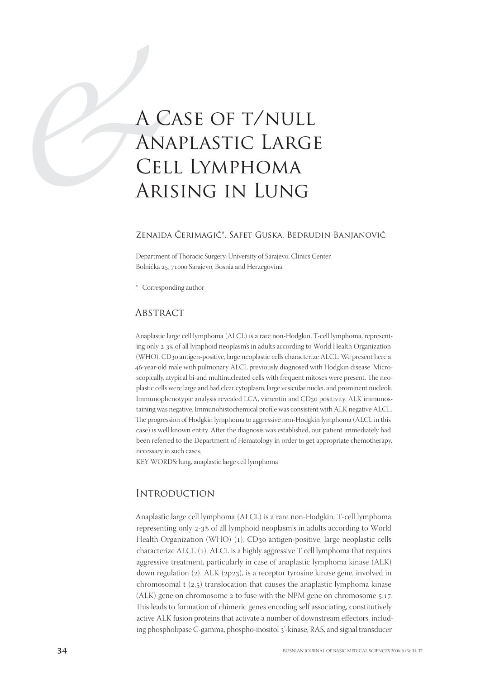# A C<br>
A N<br>
CEI<br>
A RI<br>
CEI<br>
A RI<br>
ZENAID A Case of t/null Anaplastic Large Cell Lymphoma Arising in Lung

# Zenaida Ćerimagić\*, Safet Guska, Bedrudin Banjanović

Department of Thoracic Surgery, University of Sarajevo, Clinics Center, Bolnička 25, 71000 Sarajevo, Bosnia and Herzegovina

\* Corresponding author

# **ABSTRACT**

Anaplastic large cell lymphoma (ALCL) is a rare non-Hodgkin, T-cell lymphoma, representing only 2-3% of all lymphoid neoplasm's in adults according to World Health Organization (WHO). CD30 antigen-positive, large neoplastic cells characterize ALCL. We present here a 46-year-old male with pulmonary ALCL previously diagnosed with Hodgkin disease. Microscopically, atypical bi-and multinucleated cells with frequent mitoses were present. The neoplastic cells were large and had clear cytoplasm, large vesicular nuclei, and prominent nucleoli. Immunophenotypic analysis revealed LCA, vimentin and CD30 positivity. ALK immunostaining was negative. Immunohistochemical profile was consistent with ALK negative ALCL. The progression of Hodgkin lymphoma to aggressive non-Hodgkin lymphoma (ALCL in this case) is well known entity. After the diagnosis was established, our patient immediately had been referred to the Department of Hematology in order to get appropriate chemotherapy, necessary in such cases.

KEY WORDS: lung, anaplastic large cell lymphoma

### **INTRODUCTION**

Anaplastic large cell lymphoma (ALCL) is a rare non-Hodgkin, T-cell lymphoma, representing only 2-3% of all lymphoid neoplasm's in adults according to World Health Organization (WHO) (1). CD30 antigen-positive, large neoplastic cells characterize ALCL (). ALCL is a highly aggressive T cell lymphoma that requires aggressive treatment, particularly in case of anaplastic lymphoma kinase (ALK) down regulation (2). ALK (2p23), is a receptor tyrosine kinase gene, involved in chromosomal t  $(2,5)$  translocation that causes the anaplastic lymphoma kinase (ALK) gene on chromosome  $2$  to fuse with the NPM gene on chromosome  $5.17$ . This leads to formation of chimeric genes encoding self associating, constitutively active ALK fusion proteins that activate a number of downstream effectors, including phospholipase C-gamma, phospho-inositol 3'-kinase, RAS, and signal transducer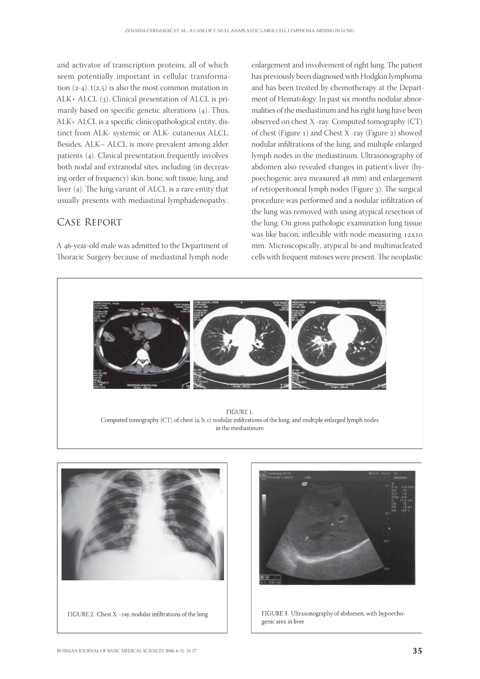and activator of transcription proteins, all of which seem potentially important in cellular transformation  $(2-4)$ . t $(2,5)$  is also the most common mutation in ALK+ ALCL  $(3)$ . Clinical presentation of ALCL is primarily based on specific genetic alterations  $(4)$ . Thus, ALK+ ALCL is a specific clinicopathological entity, distinct from ALK- systemic or ALK- cutaneous ALCL. Besides, ALK– ALCL is more prevalent among alder patients  $(4)$ . Clinical presentation frequently involves both nodal and extranodal sites, including (in decreasing order of frequency) skin, bone, soft tissue, lung, and liver  $(4)$ . The lung variant of ALCL is a rare entity that usually presents with mediastinal lymphadenopathy..

# Case Report

A 46-year-old male was admitted to the Department of Thoracic Surgery because of mediastinal lymph node enlargement and involvement of right lung. The patient has previously been diagnosed with Hodgkin lymphoma and has been treated by chemotherapy at the Department of Hematology. In past six months nodular abnormalities of the mediastinum and his right lung have been observed on chest X -ray. Computed tomography (CT) of chest (Figure  $_1$ ) and Chest X -ray (Figure  $_2$ ) showed nodular infiltrations of the lung, and multiple enlarged lymph nodes in the mediastinum. Ultrasonography of abdomen also revealed changes in patient's liver (hypoechogenic area measured 48 mm) and enlargement of retroperitoneal lymph nodes (Figure 3). The surgical procedure was performed and a nodular infiltration of the lung was removed with using atypical resection of the lung. On gross pathologic examination lung tissue was like bacon, inflexible with node measuring  $12x10$ mm. Microscopically, atypical bi-and multinucleated cells with frequent mitoses were present. The neoplastic





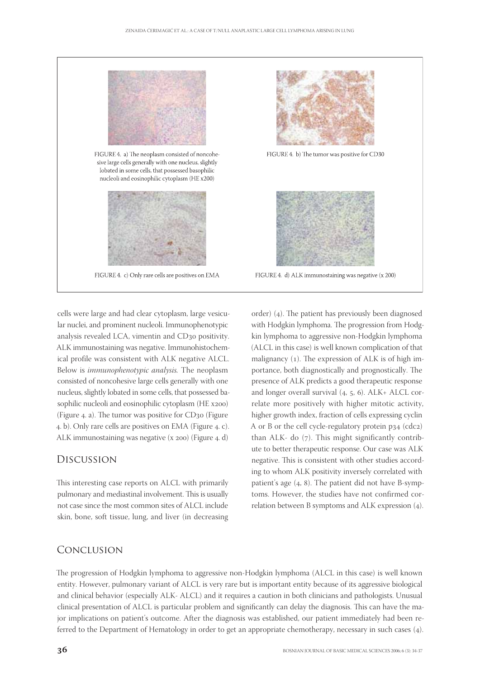

sive large cells generally with one nucleus, slightly lobated in some cells, that possessed basophilic nucleoli and eosinophilic cytoplasm (HE x200)



FIGURE 4. c) Only rare cells are positives on EMA

cells were large and had clear cytoplasm, large vesicular nuclei, and prominent nucleoli. Immunophenotypic analysis revealed LCA, vimentin and CD30 positivity. ALK immunostaining was negative. Immunohistochemical profile was consistent with ALK negative ALCL. Below is immunophenotypic analysis. The neoplasm consisted of noncohesive large cells generally with one nucleus, slightly lobated in some cells, that possessed basophilic nucleoli and eosinophilic cytoplasm (HE x200) (Figure 4. a). The tumor was positive for  $CD_{30}$  (Figure 4. b). Only rare cells are positives on EMA (Figure 4. c). ALK immunostaining was negative (x 200) (Figure 4. d)

# Discussion

This interesting case reports on ALCL with primarily pulmonary and mediastinal involvement. This is usually not case since the most common sites of ALCL include skin, bone, soft tissue, lung, and liver (in decreasing

# FIGURE 4. b) The tumor was positive for CD30

FIGURE 4. d) ALK immunostaining was negative (x 200)

order)  $(4)$ . The patient has previously been diagnosed with Hodgkin lymphoma. The progression from Hodgkin lymphoma to aggressive non-Hodgkin lymphoma (ALCL in this case) is well known complication of that malignancy  $(1)$ . The expression of ALK is of high importance, both diagnostically and prognostically. The presence of ALK predicts a good therapeutic response and longer overall survival  $(4, 5, 6)$ . ALK+ ALCL correlate more positively with higher mitotic activity, higher growth index, fraction of cells expressing cyclin A or B or the cell cycle-regulatory protein  $p_3$ 4 (cdc2) than ALK- do  $(7)$ . This might significantly contribute to better therapeutic response. Our case was ALK negative. This is consistent with other studies according to whom ALK positivity inversely correlated with patient's age  $(4, 8)$ . The patient did not have B-symptoms. However, the studies have not confirmed correlation between B symptoms and ALK expression  $(4)$ .

# Conclusion

The progression of Hodgkin lymphoma to aggressive non-Hodgkin lymphoma (ALCL in this case) is well known entity. However, pulmonary variant of ALCL is very rare but is important entity because of its aggressive biological and clinical behavior (especially ALK- ALCL) and it requires a caution in both clinicians and pathologists. Unusual clinical presentation of ALCL is particular problem and significantly can delay the diagnosis. This can have the major implications on patient's outcome. After the diagnosis was established, our patient immediately had been referred to the Department of Hematology in order to get an appropriate chemotherapy, necessary in such cases (4).